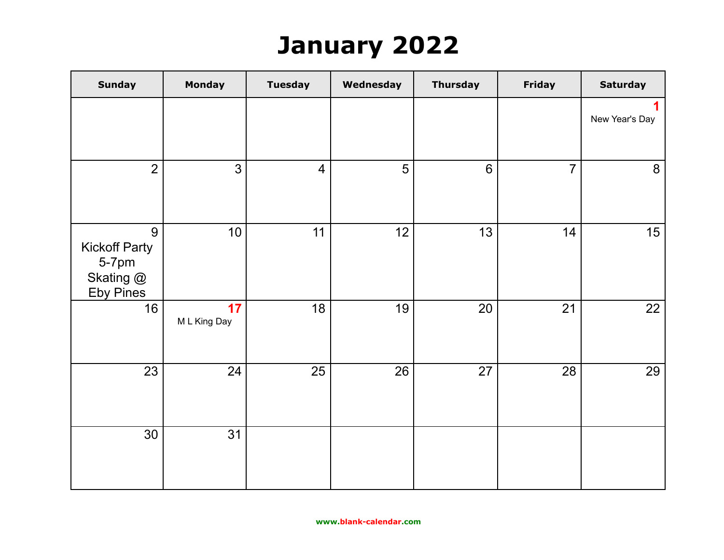## **January 2022**

| <b>Sunday</b>                                                       | <b>Monday</b>      | <b>Tuesday</b> | Wednesday | <b>Thursday</b> | Friday         | <b>Saturday</b> |
|---------------------------------------------------------------------|--------------------|----------------|-----------|-----------------|----------------|-----------------|
|                                                                     |                    |                |           |                 |                | New Year's Day  |
| $\overline{2}$                                                      | 3                  | $\overline{4}$ | 5         | $6\phantom{1}6$ | $\overline{7}$ | 8               |
| 9<br><b>Kickoff Party</b><br>5-7pm<br>Skating @<br><b>Eby Pines</b> | 10                 | 11             | 12        | 13              | 14             | 15              |
| 16                                                                  | 17<br>M L King Day | 18             | 19        | 20              | 21             | 22              |
| 23                                                                  | 24                 | 25             | 26        | 27              | 28             | 29              |
| 30                                                                  | 31                 |                |           |                 |                |                 |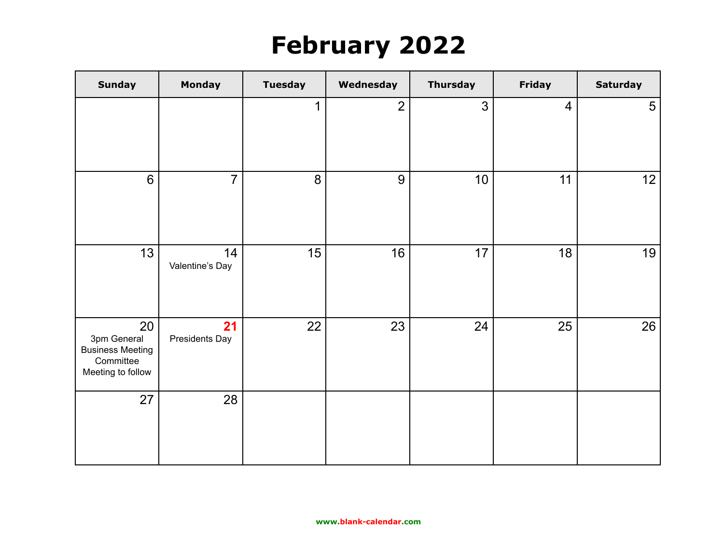## **February 2022**

| <b>Sunday</b>                                                                  | Monday                | <b>Tuesday</b> | Wednesday      | <b>Thursday</b> | Friday         | <b>Saturday</b> |
|--------------------------------------------------------------------------------|-----------------------|----------------|----------------|-----------------|----------------|-----------------|
|                                                                                |                       | 1              | $\overline{2}$ | 3               | $\overline{4}$ | $5\phantom{.0}$ |
| 6                                                                              | $\overline{7}$        | 8              | 9              | 10              | 11             | 12              |
| 13                                                                             | 14<br>Valentine's Day | 15             | 16             | 17              | 18             | 19              |
| 20<br>3pm General<br><b>Business Meeting</b><br>Committee<br>Meeting to follow | 21<br>Presidents Day  | 22             | 23             | 24              | 25             | 26              |
| 27                                                                             | 28                    |                |                |                 |                |                 |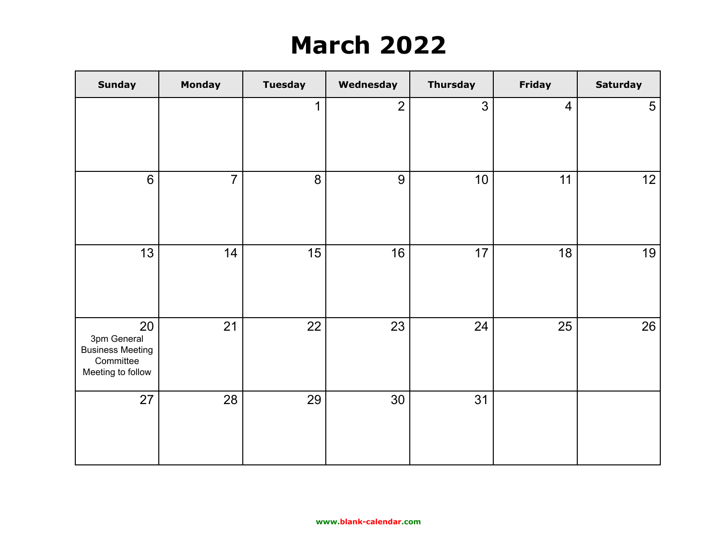## **March 2022**

| <b>Sunday</b>                                                                  | <b>Monday</b>  | <b>Tuesday</b> | Wednesday      | <b>Thursday</b> | Friday         | <b>Saturday</b> |
|--------------------------------------------------------------------------------|----------------|----------------|----------------|-----------------|----------------|-----------------|
|                                                                                |                | $\mathbf 1$    | $\overline{2}$ | 3               | $\overline{4}$ | 5               |
| 6                                                                              | $\overline{7}$ | 8              | 9              | 10              | 11             | 12              |
| 13                                                                             | 14             | 15             | 16             | 17              | 18             | 19              |
| 20<br>3pm General<br><b>Business Meeting</b><br>Committee<br>Meeting to follow | 21             | 22             | 23             | 24              | 25             | 26              |
| 27                                                                             | 28             | 29             | 30             | 31              |                |                 |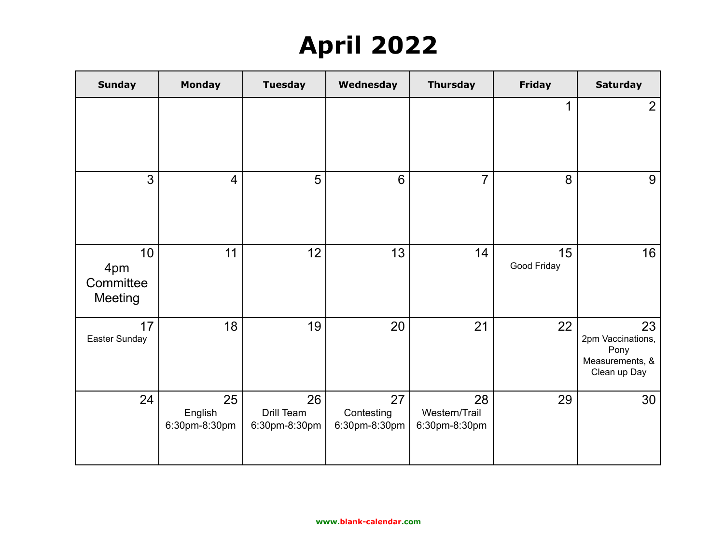## **April 2022**

| <b>Sunday</b>                            | <b>Monday</b>                  | <b>Tuesday</b>                    | Wednesday                         | <b>Thursday</b>                      | <b>Friday</b>     | <b>Saturday</b>                                                    |
|------------------------------------------|--------------------------------|-----------------------------------|-----------------------------------|--------------------------------------|-------------------|--------------------------------------------------------------------|
|                                          |                                |                                   |                                   |                                      | 1                 | $\overline{2}$                                                     |
| 3                                        | $\overline{4}$                 | 5                                 | 6                                 | $\overline{7}$                       | 8                 | 9                                                                  |
| 10<br>4pm<br>Committee<br><b>Meeting</b> | 11                             | 12                                | 13                                | 14                                   | 15<br>Good Friday | 16                                                                 |
| 17<br>Easter Sunday                      | 18                             | 19                                | 20                                | 21                                   | 22                | 23<br>2pm Vaccinations,<br>Pony<br>Measurements, &<br>Clean up Day |
| 24                                       | 25<br>English<br>6:30pm-8:30pm | 26<br>Drill Team<br>6:30pm-8:30pm | 27<br>Contesting<br>6:30pm-8:30pm | 28<br>Western/Trail<br>6:30pm-8:30pm | 29                | 30                                                                 |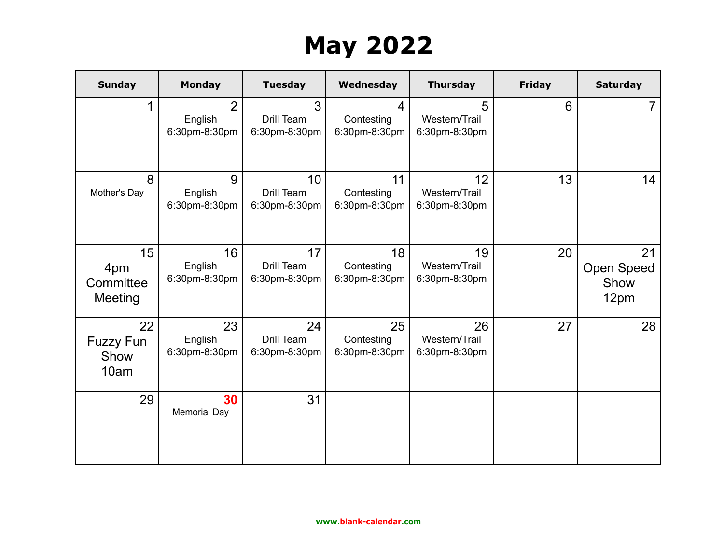# **May 2022**

| <b>Sunday</b>                          | <b>Monday</b>                              | <b>Tuesday</b>                                 | Wednesday                                     | <b>Thursday</b>                      | <b>Friday</b> | <b>Saturday</b>                         |
|----------------------------------------|--------------------------------------------|------------------------------------------------|-----------------------------------------------|--------------------------------------|---------------|-----------------------------------------|
| 1                                      | $\overline{2}$<br>English<br>6:30pm-8:30pm | 3<br>Drill Team<br>6:30pm-8:30pm               | $\overline{4}$<br>Contesting<br>6:30pm-8:30pm | 5<br>Western/Trail<br>6:30pm-8:30pm  | 6             |                                         |
| 8<br>Mother's Day                      | 9<br>English<br>6:30pm-8:30pm              | 10 <sup>°</sup><br>Drill Team<br>6:30pm-8:30pm | 11<br>Contesting<br>6:30pm-8:30pm             | 12<br>Western/Trail<br>6:30pm-8:30pm | 13            | 14                                      |
| 15<br>4pm<br>Committee<br>Meeting      | 16<br>English<br>6:30pm-8:30pm             | 17<br>Drill Team<br>6:30pm-8:30pm              | 18<br>Contesting<br>6:30pm-8:30pm             | 19<br>Western/Trail<br>6:30pm-8:30pm | 20            | 21<br><b>Open Speed</b><br>Show<br>12pm |
| 22<br><b>Fuzzy Fun</b><br>Show<br>10am | 23<br>English<br>6:30pm-8:30pm             | 24<br>Drill Team<br>6:30pm-8:30pm              | 25<br>Contesting<br>6:30pm-8:30pm             | 26<br>Western/Trail<br>6:30pm-8:30pm | 27            | 28                                      |
| 29                                     | 30<br><b>Memorial Day</b>                  | 31                                             |                                               |                                      |               |                                         |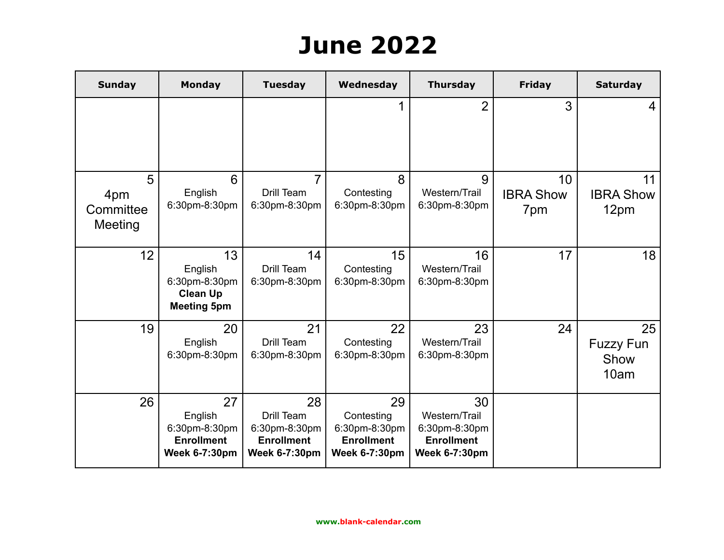## **June 2022**

| <b>Sunday</b>                    | <b>Monday</b>                                                               | <b>Tuesday</b>                                                                 | Wednesday                                                                      | <b>Thursday</b>                                                                   | <b>Friday</b>                 | <b>Saturday</b>                        |
|----------------------------------|-----------------------------------------------------------------------------|--------------------------------------------------------------------------------|--------------------------------------------------------------------------------|-----------------------------------------------------------------------------------|-------------------------------|----------------------------------------|
|                                  |                                                                             |                                                                                | 1                                                                              | $\overline{2}$                                                                    | 3                             | 4                                      |
| 5<br>4pm<br>Committee<br>Meeting | 6<br>English<br>6:30pm-8:30pm                                               | 7<br>Drill Team<br>6:30pm-8:30pm                                               | 8<br>Contesting<br>6:30pm-8:30pm                                               | 9<br>Western/Trail<br>6:30pm-8:30pm                                               | 10<br><b>IBRA Show</b><br>7pm | 11<br><b>IBRA Show</b><br>12pm         |
| 12                               | 13<br>English<br>6:30pm-8:30pm<br><b>Clean Up</b><br><b>Meeting 5pm</b>     | 14<br>Drill Team<br>6:30pm-8:30pm                                              | 15<br>Contesting<br>6:30pm-8:30pm                                              | 16<br>Western/Trail<br>6:30pm-8:30pm                                              | 17                            | 18                                     |
| 19                               | 20<br>English<br>6:30pm-8:30pm                                              | 21<br>Drill Team<br>6:30pm-8:30pm                                              | 22<br>Contesting<br>6:30pm-8:30pm                                              | 23<br>Western/Trail<br>6:30pm-8:30pm                                              | 24                            | 25<br><b>Fuzzy Fun</b><br>Show<br>10am |
| 26                               | 27<br>English<br>6:30pm-8:30pm<br><b>Enrollment</b><br><b>Week 6-7:30pm</b> | 28<br>Drill Team<br>6:30pm-8:30pm<br><b>Enrollment</b><br><b>Week 6-7:30pm</b> | 29<br>Contesting<br>6:30pm-8:30pm<br><b>Enrollment</b><br><b>Week 6-7:30pm</b> | 30<br>Western/Trail<br>6:30pm-8:30pm<br><b>Enrollment</b><br><b>Week 6-7:30pm</b> |                               |                                        |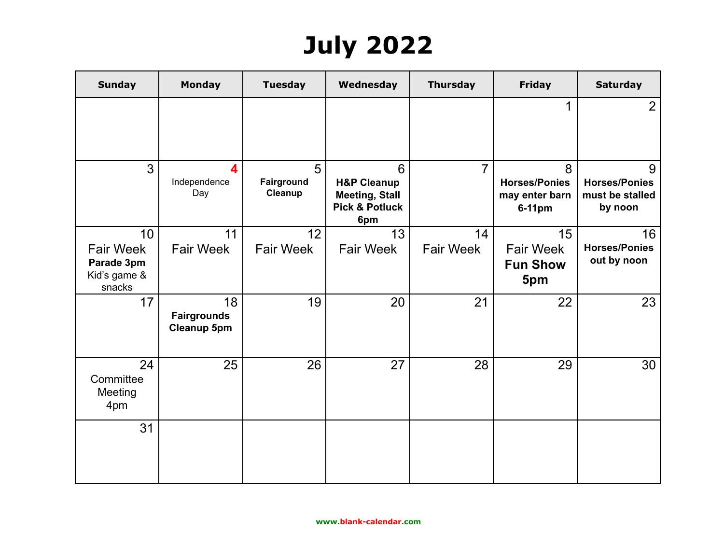# **July 2022**

| <b>Sunday</b>                                                  | <b>Monday</b>                                  | <b>Tuesday</b>             | Wednesday                                                                                | <b>Thursday</b>        | <b>Friday</b>                                         | <b>Saturday</b>                                         |
|----------------------------------------------------------------|------------------------------------------------|----------------------------|------------------------------------------------------------------------------------------|------------------------|-------------------------------------------------------|---------------------------------------------------------|
|                                                                |                                                |                            |                                                                                          |                        |                                                       | 2                                                       |
| 3                                                              | $\overline{\mathbf{4}}$<br>Independence<br>Day | 5<br>Fairground<br>Cleanup | 6<br><b>H&amp;P Cleanup</b><br><b>Meeting, Stall</b><br><b>Pick &amp; Potluck</b><br>6pm | $\overline{7}$         | 8<br><b>Horses/Ponies</b><br>may enter barn<br>6-11pm | 9<br><b>Horses/Ponies</b><br>must be stalled<br>by noon |
| 10<br><b>Fair Week</b><br>Parade 3pm<br>Kid's game &<br>snacks | 11<br><b>Fair Week</b>                         | 12<br><b>Fair Week</b>     | 13<br><b>Fair Week</b>                                                                   | 14<br><b>Fair Week</b> | 15<br><b>Fair Week</b><br><b>Fun Show</b><br>5pm      | 16<br><b>Horses/Ponies</b><br>out by noon               |
| 17                                                             | 18<br><b>Fairgrounds</b><br><b>Cleanup 5pm</b> | 19                         | 20                                                                                       | 21                     | 22                                                    | 23                                                      |
| 24<br>Committee<br>Meeting<br>4pm                              | 25                                             | 26                         | 27                                                                                       | 28                     | 29                                                    | 30                                                      |
| 31                                                             |                                                |                            |                                                                                          |                        |                                                       |                                                         |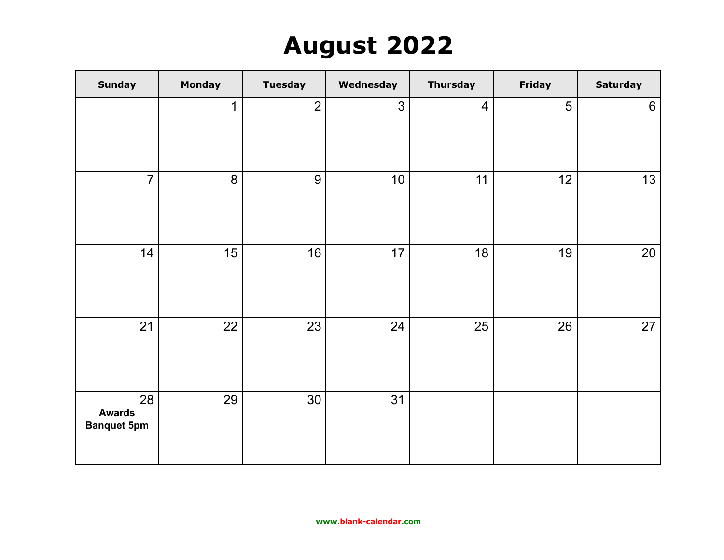## **August 2022**

| <b>Sunday</b>                             | <b>Monday</b> | <b>Tuesday</b> | Wednesday      | <b>Thursday</b> | Friday | <b>Saturday</b> |
|-------------------------------------------|---------------|----------------|----------------|-----------------|--------|-----------------|
|                                           | $\mathbf{1}$  | $\overline{2}$ | $\mathfrak{S}$ | $\overline{4}$  | 5      | 6               |
| $\overline{7}$                            | 8             | 9              | 10             | 11              | 12     | 13              |
| 14                                        | 15            | 16             | 17             | 18              | 19     | 20              |
| 21                                        | 22            | 23             | 24             | 25              | 26     | 27              |
| 28<br><b>Awards</b><br><b>Banquet 5pm</b> | 29            | 30             | 31             |                 |        |                 |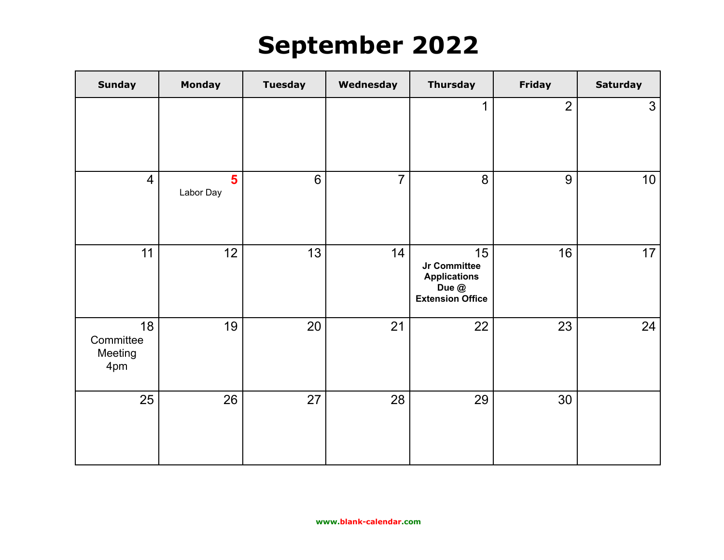### **September 2022**

| <b>Sunday</b>                     | <b>Monday</b>               | <b>Tuesday</b> | Wednesday      | <b>Thursday</b>                                                               | <b>Friday</b>  | <b>Saturday</b> |
|-----------------------------------|-----------------------------|----------------|----------------|-------------------------------------------------------------------------------|----------------|-----------------|
|                                   |                             |                |                | $\mathbf 1$                                                                   | $\overline{2}$ | $\mathfrak{S}$  |
| $\overline{4}$                    | $5\phantom{1}$<br>Labor Day | 6              | $\overline{7}$ | 8                                                                             | 9              | 10              |
| 11                                | 12                          | 13             | 14             | 15<br>Jr Committee<br><b>Applications</b><br>Due @<br><b>Extension Office</b> | 16             | 17              |
| 18<br>Committee<br>Meeting<br>4pm | 19                          | 20             | 21             | 22                                                                            | 23             | 24              |
| 25                                | 26                          | 27             | 28             | 29                                                                            | 30             |                 |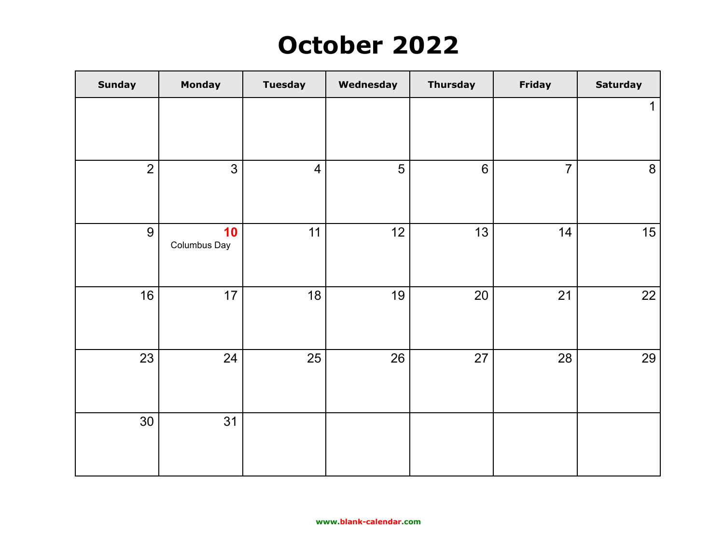### **October 2022**

| <b>Sunday</b>  | Monday             | <b>Tuesday</b> | Wednesday | <b>Thursday</b> | Friday         | <b>Saturday</b> |
|----------------|--------------------|----------------|-----------|-----------------|----------------|-----------------|
|                |                    |                |           |                 |                | $\mathbf 1$     |
|                |                    |                |           |                 |                |                 |
| $\overline{2}$ | $\mathfrak{S}$     | $\overline{4}$ | 5         | $6\phantom{1}$  | $\overline{7}$ | 8               |
| 9              | 10<br>Columbus Day | 11             | 12        | 13              | 14             | 15              |
| 16             | 17                 | 18             | 19        | 20              | 21             | 22              |
| 23             | 24                 | 25             | 26        | 27              | 28             | 29              |
| 30             | 31                 |                |           |                 |                |                 |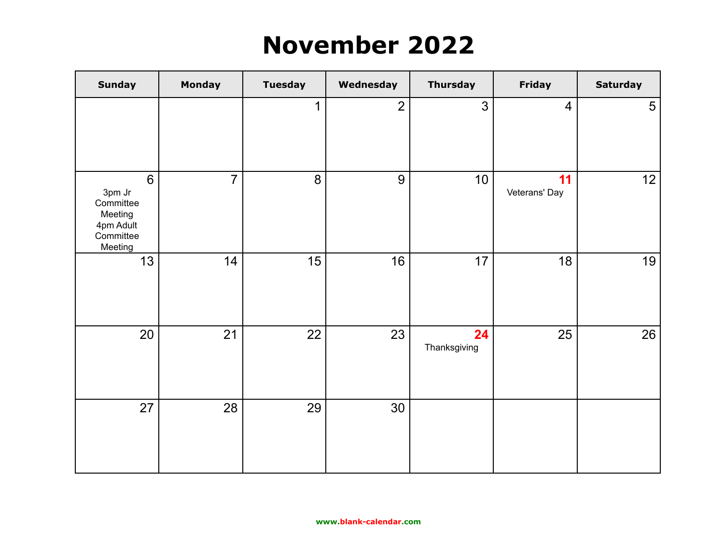#### **November 2022**

| <b>Sunday</b>                                                            | <b>Monday</b>  | <b>Tuesday</b> | Wednesday      | <b>Thursday</b>    | <b>Friday</b>       | <b>Saturday</b> |
|--------------------------------------------------------------------------|----------------|----------------|----------------|--------------------|---------------------|-----------------|
|                                                                          |                | $\mathbf 1$    | $\overline{2}$ | 3                  | $\overline{4}$      | $5\overline{)}$ |
| 6<br>3pm Jr<br>Committee<br>Meeting<br>4pm Adult<br>Committee<br>Meeting | $\overline{7}$ | 8              | 9              | 10 <sup>1</sup>    | 11<br>Veterans' Day | 12              |
| 13                                                                       | 14             | 15             | 16             | 17                 | 18                  | 19              |
| 20                                                                       | 21             | 22             | 23             | 24<br>Thanksgiving | 25                  | 26              |
| 27                                                                       | 28             | 29             | 30             |                    |                     |                 |